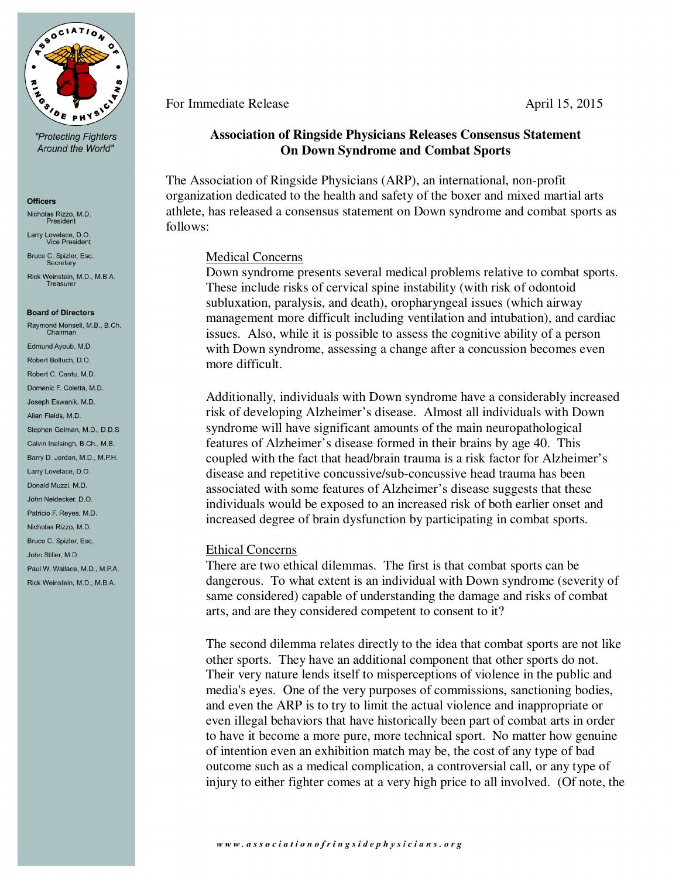

"Protecting Fighters Around the World"

#### **Officers**

Nicholas Rizzo, M.D. President

Larry Lovelace, D.O.<br>Vice President

Bruce C. Spizler, Esq. Secretary

Rick Weinstein, M.D., M.B.A. Treasurer

#### **Board of Directors**

Raymond Monsell, M.B., B.Ch.<br>Chairman Edmund Avoub, M.D. Robert Boltuch, D.O. Robert C. Cantu, M.D. Domenic F. Coletta, M.D. Joseph Eswanik, M.D. Allan Fields, M.D. Stephen Gelman, M.D., D.D.S Calvin Inalsingh, B.Ch., M.B. Barry D. Jordan, M.D., M.P.H. Larry Lovelace, D.O. Donald Muzzi, M.D. John Neidecker D.O. Patricio F. Reyes, M.D. Nicholas Rizzo, M.D. Bruce C. Spizler, Esg. John Stiller MD Paul W. Wallace, M.D., M.P.A. Rick Weinstein, M.D., M.B.A.

# For Immediate Release April 15, 2015

# **Association of Ringside Physicians Releases Consensus Statement On Down Syndrome and Combat Sports**

The Association of Ringside Physicians (ARP), an international, non-profit organization dedicated to the health and safety of the boxer and mixed martial arts athlete, has released a consensus statement on Down syndrome and combat sports as follows:

## Medical Concerns

Down syndrome presents several medical problems relative to combat sports. These include risks of cervical spine instability (with risk of odontoid subluxation, paralysis, and death), oropharyngeal issues (which airway management more difficult including ventilation and intubation), and cardiac issues. Also, while it is possible to assess the cognitive ability of a person with Down syndrome, assessing a change after a concussion becomes even more difficult.

Additionally, individuals with Down syndrome have a considerably increased risk of developing Alzheimer's disease. Almost all individuals with Down syndrome will have significant amounts of the main neuropathological features of Alzheimer's disease formed in their brains by age 40. This coupled with the fact that head/brain trauma is a risk factor for Alzheimer's disease and repetitive concussive/sub-concussive head trauma has been associated with some features of Alzheimer's disease suggests that these individuals would be exposed to an increased risk of both earlier onset and increased degree of brain dysfunction by participating in combat sports.

### Ethical Concerns

There are two ethical dilemmas. The first is that combat sports can be dangerous. To what extent is an individual with Down syndrome (severity of same considered) capable of understanding the damage and risks of combat arts, and are they considered competent to consent to it?

The second dilemma relates directly to the idea that combat sports are not like other sports. They have an additional component that other sports do not. Their very nature lends itself to misperceptions of violence in the public and media's eyes. One of the very purposes of commissions, sanctioning bodies, and even the ARP is to try to limit the actual violence and inappropriate or even illegal behaviors that have historically been part of combat arts in order to have it become a more pure, more technical sport. No matter how genuine of intention even an exhibition match may be, the cost of any type of bad outcome such as a medical complication, a controversial call, or any type of injury to either fighter comes at a very high price to all involved. (Of note, the